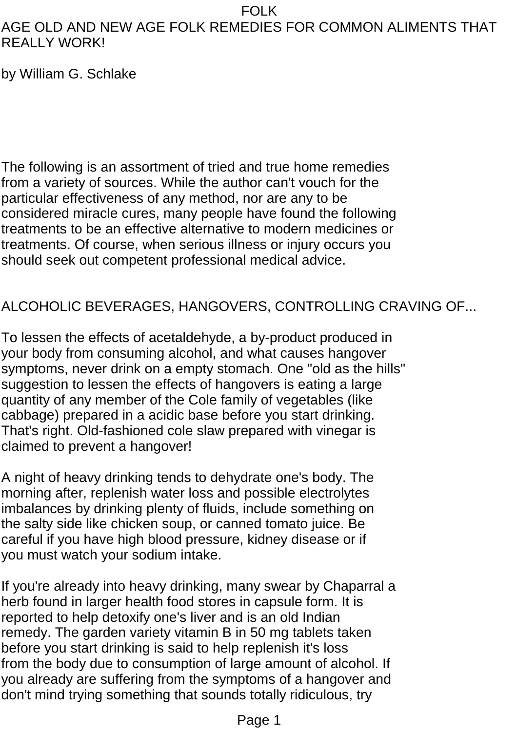## AGE OLD AND NEW AGE FOLK REMEDIES FOR COMMON ALIMENTS THAT REALLY WORK!

by William G. Schlake

The following is an assortment of tried and true home remedies from a variety of sources. While the author can't vouch for the particular effectiveness of any method, nor are any to be considered miracle cures, many people have found the following treatments to be an effective alternative to modern medicines or treatments. Of course, when serious illness or injury occurs you should seek out competent professional medical advice.

## ALCOHOLIC BEVERAGES, HANGOVERS, CONTROLLING CRAVING OF...

To lessen the effects of acetaldehyde, a by-product produced in your body from consuming alcohol, and what causes hangover symptoms, never drink on a empty stomach. One "old as the hills" suggestion to lessen the effects of hangovers is eating a large quantity of any member of the Cole family of vegetables (like cabbage) prepared in a acidic base before you start drinking. That's right. Old-fashioned cole slaw prepared with vinegar is claimed to prevent a hangover!

A night of heavy drinking tends to dehydrate one's body. The morning after, replenish water loss and possible electrolytes imbalances by drinking plenty of fluids, include something on the salty side like chicken soup, or canned tomato juice. Be careful if you have high blood pressure, kidney disease or if you must watch your sodium intake.

If you're already into heavy drinking, many swear by Chaparral a herb found in larger health food stores in capsule form. It is reported to help detoxify one's liver and is an old Indian remedy. The garden variety vitamin B in 50 mg tablets taken before you start drinking is said to help replenish it's loss from the body due to consumption of large amount of alcohol. If you already are suffering from the symptoms of a hangover and don't mind trying something that sounds totally ridiculous, try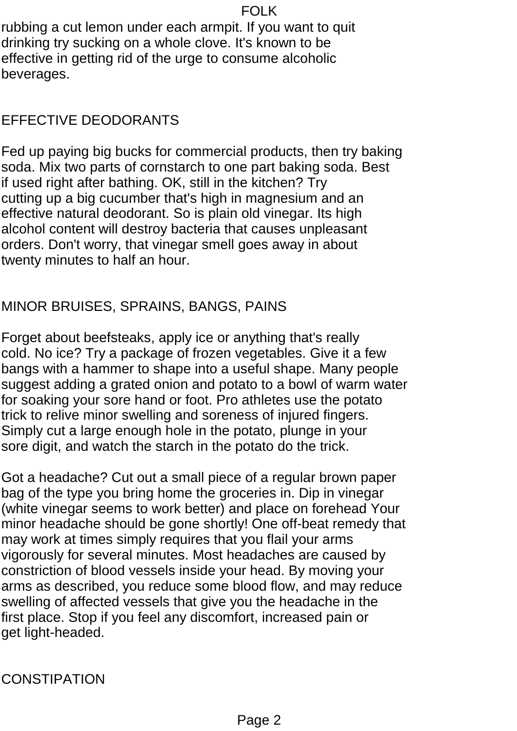rubbing a cut lemon under each armpit. If you want to quit drinking try sucking on a whole clove. It's known to be effective in getting rid of the urge to consume alcoholic beverages.

#### EFFECTIVE DEODORANTS

Fed up paying big bucks for commercial products, then try baking soda. Mix two parts of cornstarch to one part baking soda. Best if used right after bathing. OK, still in the kitchen? Try cutting up a big cucumber that's high in magnesium and an effective natural deodorant. So is plain old vinegar. Its high alcohol content will destroy bacteria that causes unpleasant orders. Don't worry, that vinegar smell goes away in about twenty minutes to half an hour.

## MINOR BRUISES, SPRAINS, BANGS, PAINS

Forget about beefsteaks, apply ice or anything that's really cold. No ice? Try a package of frozen vegetables. Give it a few bangs with a hammer to shape into a useful shape. Many people suggest adding a grated onion and potato to a bowl of warm water for soaking your sore hand or foot. Pro athletes use the potato trick to relive minor swelling and soreness of injured fingers. Simply cut a large enough hole in the potato, plunge in your sore digit, and watch the starch in the potato do the trick.

Got a headache? Cut out a small piece of a regular brown paper bag of the type you bring home the groceries in. Dip in vinegar (white vinegar seems to work better) and place on forehead Your minor headache should be gone shortly! One off-beat remedy that may work at times simply requires that you flail your arms vigorously for several minutes. Most headaches are caused by constriction of blood vessels inside your head. By moving your arms as described, you reduce some blood flow, and may reduce swelling of affected vessels that give you the headache in the first place. Stop if you feel any discomfort, increased pain or get light-headed.

**CONSTIPATION**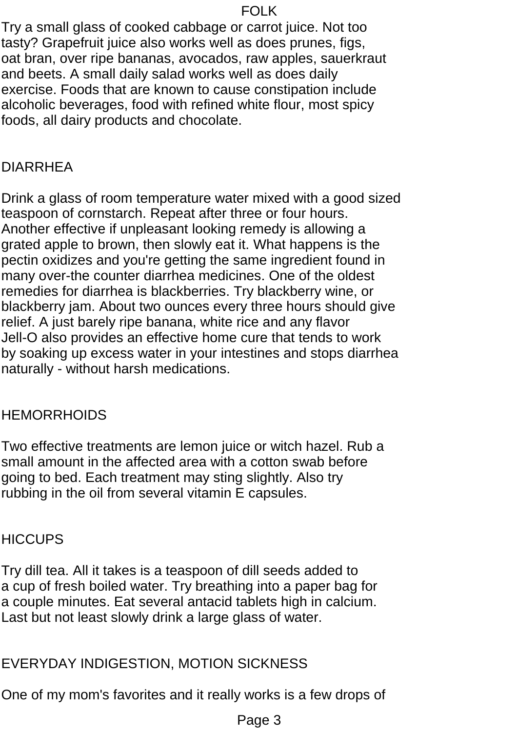Try a small glass of cooked cabbage or carrot juice. Not too tasty? Grapefruit juice also works well as does prunes, figs, oat bran, over ripe bananas, avocados, raw apples, sauerkraut and beets. A small daily salad works well as does daily exercise. Foods that are known to cause constipation include alcoholic beverages, food with refined white flour, most spicy foods, all dairy products and chocolate.

## DIARRHEA

Drink a glass of room temperature water mixed with a good sized teaspoon of cornstarch. Repeat after three or four hours. Another effective if unpleasant looking remedy is allowing a grated apple to brown, then slowly eat it. What happens is the pectin oxidizes and you're getting the same ingredient found in many over-the counter diarrhea medicines. One of the oldest remedies for diarrhea is blackberries. Try blackberry wine, or blackberry jam. About two ounces every three hours should give relief. A just barely ripe banana, white rice and any flavor Jell-O also provides an effective home cure that tends to work by soaking up excess water in your intestines and stops diarrhea naturally - without harsh medications.

#### **HEMORRHOIDS**

Two effective treatments are lemon juice or witch hazel. Rub a small amount in the affected area with a cotton swab before going to bed. Each treatment may sting slightly. Also try rubbing in the oil from several vitamin E capsules.

## **HICCUPS**

Try dill tea. All it takes is a teaspoon of dill seeds added to a cup of fresh boiled water. Try breathing into a paper bag for a couple minutes. Eat several antacid tablets high in calcium. Last but not least slowly drink a large glass of water.

## EVERYDAY INDIGESTION, MOTION SICKNESS

One of my mom's favorites and it really works is a few drops of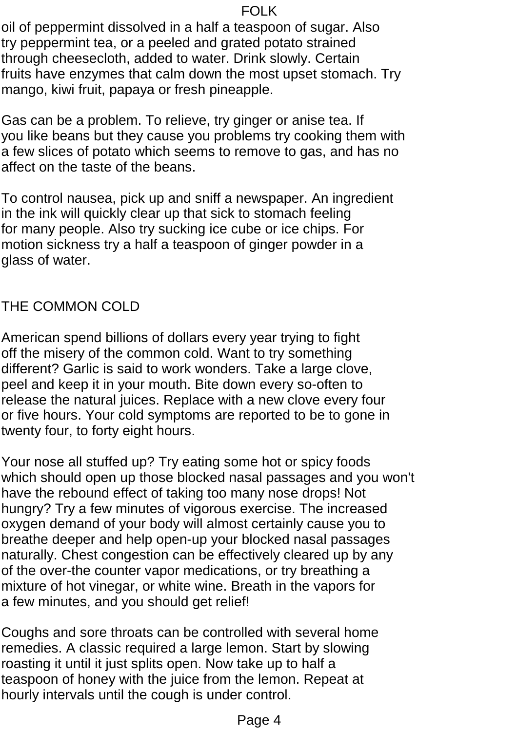oil of peppermint dissolved in a half a teaspoon of sugar. Also try peppermint tea, or a peeled and grated potato strained through cheesecloth, added to water. Drink slowly. Certain fruits have enzymes that calm down the most upset stomach. Try mango, kiwi fruit, papaya or fresh pineapple.

Gas can be a problem. To relieve, try ginger or anise tea. If you like beans but they cause you problems try cooking them with a few slices of potato which seems to remove to gas, and has no affect on the taste of the beans.

To control nausea, pick up and sniff a newspaper. An ingredient in the ink will quickly clear up that sick to stomach feeling for many people. Also try sucking ice cube or ice chips. For motion sickness try a half a teaspoon of ginger powder in a glass of water.

### THE COMMON COLD

American spend billions of dollars every year trying to fight off the misery of the common cold. Want to try something different? Garlic is said to work wonders. Take a large clove, peel and keep it in your mouth. Bite down every so-often to release the natural juices. Replace with a new clove every four or five hours. Your cold symptoms are reported to be to gone in twenty four, to forty eight hours.

Your nose all stuffed up? Try eating some hot or spicy foods which should open up those blocked nasal passages and you won't have the rebound effect of taking too many nose drops! Not hungry? Try a few minutes of vigorous exercise. The increased oxygen demand of your body will almost certainly cause you to breathe deeper and help open-up your blocked nasal passages naturally. Chest congestion can be effectively cleared up by any of the over-the counter vapor medications, or try breathing a mixture of hot vinegar, or white wine. Breath in the vapors for a few minutes, and you should get relief!

Coughs and sore throats can be controlled with several home remedies. A classic required a large lemon. Start by slowing roasting it until it just splits open. Now take up to half a teaspoon of honey with the juice from the lemon. Repeat at hourly intervals until the cough is under control.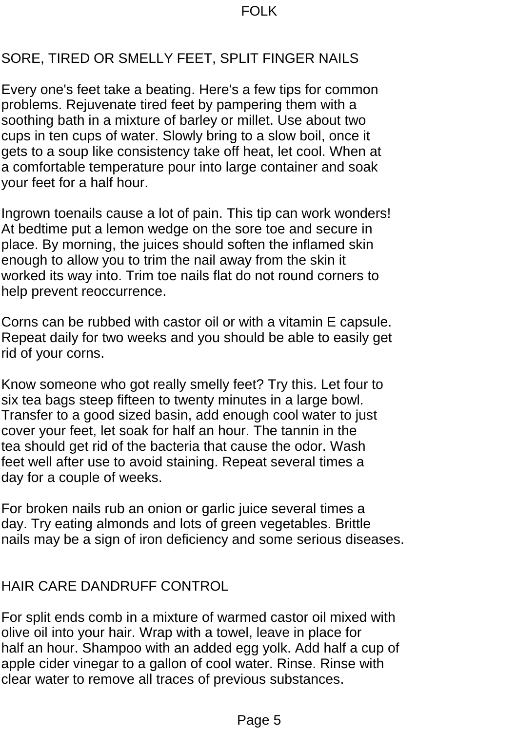## SORE, TIRED OR SMELLY FEET, SPLIT FINGER NAILS

Every one's feet take a beating. Here's a few tips for common problems. Rejuvenate tired feet by pampering them with a soothing bath in a mixture of barley or millet. Use about two cups in ten cups of water. Slowly bring to a slow boil, once it gets to a soup like consistency take off heat, let cool. When at a comfortable temperature pour into large container and soak your feet for a half hour.

Ingrown toenails cause a lot of pain. This tip can work wonders! At bedtime put a lemon wedge on the sore toe and secure in place. By morning, the juices should soften the inflamed skin enough to allow you to trim the nail away from the skin it worked its way into. Trim toe nails flat do not round corners to help prevent reoccurrence.

Corns can be rubbed with castor oil or with a vitamin E capsule. Repeat daily for two weeks and you should be able to easily get rid of your corns.

Know someone who got really smelly feet? Try this. Let four to six tea bags steep fifteen to twenty minutes in a large bowl. Transfer to a good sized basin, add enough cool water to just cover your feet, let soak for half an hour. The tannin in the tea should get rid of the bacteria that cause the odor. Wash feet well after use to avoid staining. Repeat several times a day for a couple of weeks.

For broken nails rub an onion or garlic juice several times a day. Try eating almonds and lots of green vegetables. Brittle nails may be a sign of iron deficiency and some serious diseases.

# HAIR CARE DANDRUFF CONTROL

For split ends comb in a mixture of warmed castor oil mixed with olive oil into your hair. Wrap with a towel, leave in place for half an hour. Shampoo with an added egg yolk. Add half a cup of apple cider vinegar to a gallon of cool water. Rinse. Rinse with clear water to remove all traces of previous substances.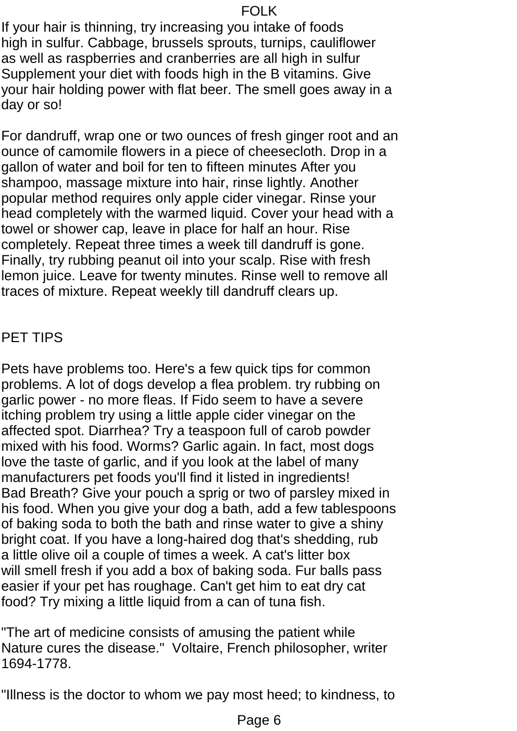If your hair is thinning, try increasing you intake of foods high in sulfur. Cabbage, brussels sprouts, turnips, cauliflower as well as raspberries and cranberries are all high in sulfur Supplement your diet with foods high in the B vitamins. Give your hair holding power with flat beer. The smell goes away in a day or so!

For dandruff, wrap one or two ounces of fresh ginger root and an ounce of camomile flowers in a piece of cheesecloth. Drop in a gallon of water and boil for ten to fifteen minutes After you shampoo, massage mixture into hair, rinse lightly. Another popular method requires only apple cider vinegar. Rinse your head completely with the warmed liquid. Cover your head with a towel or shower cap, leave in place for half an hour. Rise completely. Repeat three times a week till dandruff is gone. Finally, try rubbing peanut oil into your scalp. Rise with fresh lemon juice. Leave for twenty minutes. Rinse well to remove all traces of mixture. Repeat weekly till dandruff clears up.

### PET TIPS

Pets have problems too. Here's a few quick tips for common problems. A lot of dogs develop a flea problem. try rubbing on garlic power - no more fleas. If Fido seem to have a severe itching problem try using a little apple cider vinegar on the affected spot. Diarrhea? Try a teaspoon full of carob powder mixed with his food. Worms? Garlic again. In fact, most dogs love the taste of garlic, and if you look at the label of many manufacturers pet foods you'll find it listed in ingredients! Bad Breath? Give your pouch a sprig or two of parsley mixed in his food. When you give your dog a bath, add a few tablespoons of baking soda to both the bath and rinse water to give a shiny bright coat. If you have a long-haired dog that's shedding, rub a little olive oil a couple of times a week. A cat's litter box will smell fresh if you add a box of baking soda. Fur balls pass easier if your pet has roughage. Can't get him to eat dry cat food? Try mixing a little liquid from a can of tuna fish.

"The art of medicine consists of amusing the patient while Nature cures the disease." Voltaire, French philosopher, writer 1694-1778.

"Illness is the doctor to whom we pay most heed; to kindness, to